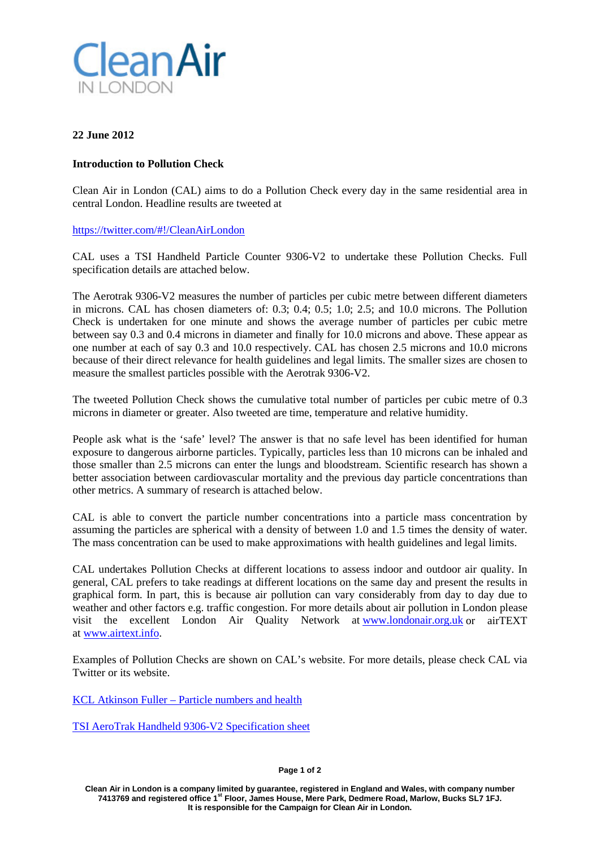

## **22 June 2012**

## **Introduction to Pollution Check**

Clean Air in London (CAL) aims to do a Pollution Check every day in the same residential area in central London. Headline results are tweeted at

## [https://twitter.com/#!/CleanAirLondon](https://twitter.com/#%21/CleanAirLondon)

CAL uses a TSI Handheld Particle Counter 9306-V2 to undertake these Pollution Checks. Full specification details are attached below.

The Aerotrak 9306-V2 measures the number of particles per cubic metre between different diameters in microns. CAL has chosen diameters of: 0.3; 0.4; 0.5; 1.0; 2.5; and 10.0 microns. The Pollution Check is undertaken for one minute and shows the average number of particles per cubic metre between say 0.3 and 0.4 microns in diameter and finally for 10.0 microns and above. These appear as one number at each of say 0.3 and 10.0 respectively. CAL has chosen 2.5 microns and 10.0 microns because of their direct relevance for health guidelines and legal limits. The smaller sizes are chosen to measure the smallest particles possible with the Aerotrak 9306-V2.

The tweeted Pollution Check shows the cumulative total number of particles per cubic metre of 0.3 microns in diameter or greater. Also tweeted are time, temperature and relative humidity.

People ask what is the 'safe' level? The answer is that no safe level has been identified for human exposure to dangerous airborne particles. Typically, particles less than 10 microns can be inhaled and those smaller than 2.5 microns can enter the lungs and bloodstream. Scientific research has shown a better association between cardiovascular mortality and the previous day particle concentrations than other metrics. A summary of research is attached below.

CAL is able to convert the particle number concentrations into a particle mass concentration by assuming the particles are spherical with a density of between 1.0 and 1.5 times the density of water. The mass concentration can be used to make approximations with health guidelines and legal limits.

CAL undertakes Pollution Checks at different locations to assess indoor and outdoor air quality. In general, CAL prefers to take readings at different locations on the same day and present the results in graphical form. In part, this is because air pollution can vary considerably from day to day due to weather and other factors e.g. traffic congestion. For more details about air pollution in London please visit the excellent London Air Quality Network at [www.londonair.org.uk](http://www.londonair.org.uk/) or airTEXT at [www.airtext.info.](http://www.airtext.info/)

Examples of Pollution Checks are shown on CAL's website. For more details, please check CAL via Twitter or its website.

KCL Atkinson Fuller – [Particle numbers and health](http://cleanairinlondon.org/wp-content/uploads/KCL-Atkinson-Fuller-Particle-numbers-and-health.pdf)

[TSI AeroTrak Handheld 9306-V2 Specification sheet](http://cleanairinlondon.org/wp-content/uploads/TSI-AeroTrak-Handheld-9306-V2_Specification-sheet.pdf)

**Clean Air in London is a company limited by guarantee, registered in England and Wales, with company number 7413769 and registered office 1st Floor, James House, Mere Park, Dedmere Road, Marlow, Bucks SL7 1FJ. It is responsible for the Campaign for Clean Air in London.**